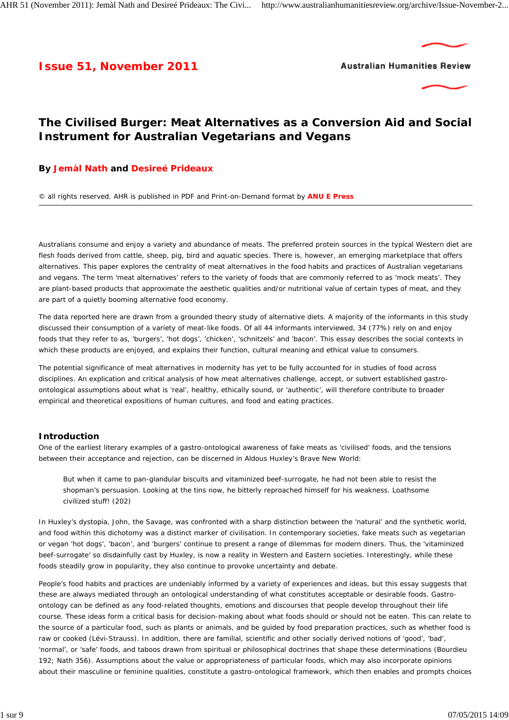# **Issue 51, November 2011**





# **The Civilised Burger: Meat Alternatives as a Conversion Aid and Social Instrument for Australian Vegetarians and Vegans**

# **By Jemàl Nath and Desireé Prideaux**

© all rights reserved. AHR is published in PDF and Print-on-Demand format by **ANU E Press**

Australians consume and enjoy a variety and abundance of meats. The preferred protein sources in the typical Western diet are flesh foods derived from cattle, sheep, pig, bird and aquatic species. There is, however, an emerging marketplace that offers alternatives. This paper explores the centrality of meat alternatives in the food habits and practices of Australian vegetarians and vegans. The term 'meat alternatives' refers to the variety of foods that are commonly referred to as 'mock meats'. They are plant-based products that approximate the aesthetic qualities and/or nutritional value of certain types of meat, and they are part of a quietly booming alternative food economy.

The data reported here are drawn from a grounded theory study of alternative diets. A majority of the informants in this study discussed their consumption of a variety of meat-like foods. Of all 44 informants interviewed, 34 (77%) rely on and enjoy foods that they refer to as, 'burgers', 'hot dogs', 'chicken', 'schnitzels' and 'bacon'. This essay describes the social contexts in which these products are enjoyed, and explains their function, cultural meaning and ethical value to consumers.

The potential significance of meat alternatives in modernity has yet to be fully accounted for in studies of food across disciplines. An explication and critical analysis of how meat alternatives challenge, accept, or subvert established *gastroontological* assumptions about what is 'real', healthy, ethically sound, or 'authentic', will therefore contribute to broader empirical and theoretical expositions of human cultures, and food and eating practices.

## **Introduction**

One of the earliest literary examples of a gastro-ontological awareness of fake meats as 'civilised' foods, and the tensions between their acceptance and rejection, can be discerned in Aldous Huxley's *Brave New World*:

But when it came to pan-glandular biscuits and vitaminized beef-surrogate, he had not been able to resist the shopman's persuasion. Looking at the tins now, he bitterly reproached himself for his weakness. Loathsome civilized stuff! (202)

In Huxley's dystopia, John, the Savage, was confronted with a sharp distinction between the 'natural' and the synthetic world, and food within this dichotomy was a distinct marker of civilisation. In contemporary societies, fake meats such as vegetarian or vegan 'hot dogs', 'bacon', and 'burgers' continue to present a range of dilemmas for modern diners. Thus, the 'vitaminized beef-surrogate' so disdainfully cast by Huxley, is now a reality in Western and Eastern societies. Interestingly, while these foods steadily grow in popularity, they also continue to provoke uncertainty and debate.

People's food habits and practices are undeniably informed by a variety of experiences and ideas, but this essay suggests that these are always mediated through an ontological understanding of what constitutes acceptable or desirable foods. Gastroontology can be defined as any food-related thoughts, emotions and discourses that people develop throughout their life course. These ideas form a critical basis for decision-making about what foods should or should not be eaten. This can relate to the source of a particular food, such as plants or animals, and be guided by food preparation practices, such as whether food is raw or cooked (Lévi-Strauss). In addition, there are familial, scientific and other socially derived notions of 'good', 'bad', 'normal', or 'safe' foods, and taboos drawn from spiritual or philosophical doctrines that shape these determinations (Bourdieu 192; Nath 356). Assumptions about the value or appropriateness of particular foods, which may also incorporate opinions about their masculine or feminine qualities, constitute a gastro-ontological framework, which then enables and prompts choices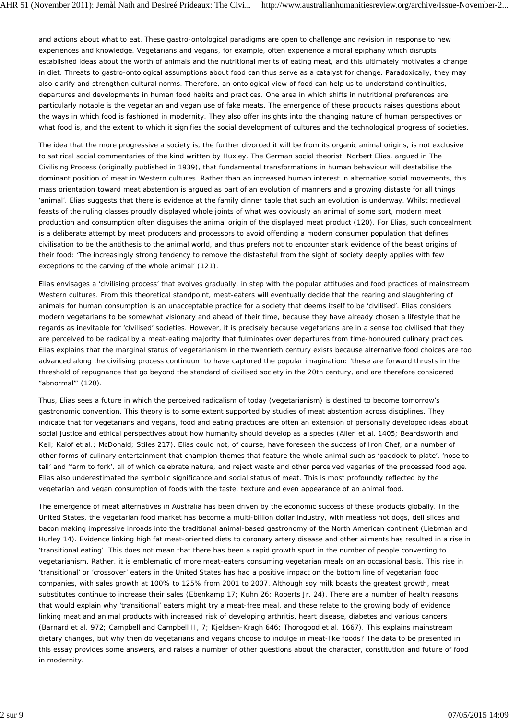and actions about what to eat. These gastro-ontological paradigms are open to challenge and revision in response to new experiences and knowledge. Vegetarians and vegans, for example, often experience a moral epiphany which disrupts established ideas about the worth of animals and the nutritional merits of eating meat, and this ultimately motivates a change in diet. Threats to gastro-ontological assumptions about food can thus serve as a catalyst for change. Paradoxically, they may also clarify and strengthen cultural norms. Therefore, an ontological view of food can help us to understand continuities, departures and developments in human food habits and practices. One area in which shifts in nutritional preferences are particularly notable is the vegetarian and vegan use of fake meats. The emergence of these products raises questions about the ways in which food is fashioned in modernity. They also offer insights into the changing nature of human perspectives on what food is, and the extent to which it signifies the social development of cultures and the technological progress of societies.

The idea that the more progressive a society is, the further divorced it will be from its organic animal origins, is not exclusive to satirical social commentaries of the kind written by Huxley. The German social theorist, Norbert Elias, argued in *The Civilising Process* (originally published in 1939), that fundamental transformations in human behaviour will destabilise the dominant position of meat in Western cultures. Rather than an increased human interest in alternative social movements, this mass orientation toward meat abstention is argued as part of an evolution of manners and a growing distaste for all things 'animal'. Elias suggests that there is evidence at the family dinner table that such an evolution is underway. Whilst medieval feasts of the ruling classes proudly displayed whole joints of what was obviously an animal of some sort, modern meat production and consumption often disguises the animal origin of the displayed meat product (120). For Elias, such concealment is a deliberate attempt by meat producers and processors to avoid offending a modern consumer population that defines civilisation to be the antithesis to the animal world, and thus prefers not to encounter stark evidence of the beast origins of their food: 'The increasingly strong tendency to remove the distasteful from the sight of society deeply applies with few exceptions to the carving of the whole animal' (121).

Elias envisages a 'civilising process' that evolves gradually, in step with the popular attitudes and food practices of mainstream Western cultures. From this theoretical standpoint, meat-eaters will eventually decide that the rearing and slaughtering of animals for human consumption is an unacceptable practice for a society that deems itself to be 'civilised'. Elias considers modern vegetarians to be somewhat visionary and ahead of their time, because they have already chosen a lifestyle that he regards as inevitable for 'civilised' societies. However, it is precisely because vegetarians are in a sense *too civilised* that they are perceived to be radical by a meat-eating majority that fulminates over departures from time-honoured culinary practices. Elias explains that the marginal status of vegetarianism in the twentieth century exists because alternative food choices are too advanced along the civilising process continuum to have captured the popular imagination: 'these are forward thrusts in the threshold of repugnance that go beyond the standard of civilised society in the 20th century, and are therefore considered "abnormal"' (120).

Thus, Elias sees a future in which the perceived radicalism of today (vegetarianism) is destined to become tomorrow's gastronomic convention. This theory is to some extent supported by studies of meat abstention across disciplines. They indicate that for vegetarians and vegans, food and eating practices are often an extension of personally developed ideas about social justice and ethical perspectives about how humanity should develop as a species (Allen *et al*. 1405; Beardsworth and Keil; Kalof *et al*.; McDonald; Stiles 217). Elias could not, of course, have foreseen the success of *Iron Chef*, or a number of other forms of culinary entertainment that champion themes that feature the whole animal such as 'paddock to plate', 'nose to tail' and 'farm to fork', all of which celebrate nature, and reject waste and other perceived vagaries of the processed food age. Elias also underestimated the symbolic significance and social status of meat. This is most profoundly reflected by the vegetarian and vegan consumption of foods with the taste, texture and even appearance of an animal food.

The emergence of meat alternatives in Australia has been driven by the economic success of these products globally. In the United States, the vegetarian food market has become a multi-billion dollar industry, with meatless hot dogs, deli slices and bacon making impressive inroads into the traditional animal-based gastronomy of the North American continent (Liebman and Hurley 14). Evidence linking high fat meat-oriented diets to coronary artery disease and other ailments has resulted in a rise in 'transitional eating'. This does not mean that there has been a rapid growth spurt in the number of people converting to vegetarianism. Rather, it is emblematic of more meat-eaters consuming vegetarian meals on an occasional basis. This rise in 'transitional' or 'crossover' eaters in the United States has had a positive impact on the bottom line of vegetarian food companies, with sales growth at 100% to 125% from 2001 to 2007. Although soy milk boasts the greatest growth, meat substitutes continue to increase their sales (Ebenkamp 17; Kuhn 26; Roberts Jr. 24). There are a number of health reasons that would explain why 'transitional' eaters might try a meat-free meal, and these relate to the growing body of evidence linking meat and animal products with increased risk of developing arthritis, heart disease, diabetes and various cancers (Barnard *et al*. 972; Campbell and Campbell II, 7; Kjeldsen-Kragh 646; Thorogood *et al*. 1667). This explains mainstream dietary changes, but why then do vegetarians and vegans choose to indulge in meat-like foods? The data to be presented in this essay provides some answers, and raises a number of other questions about the character, constitution and future of food in modernity.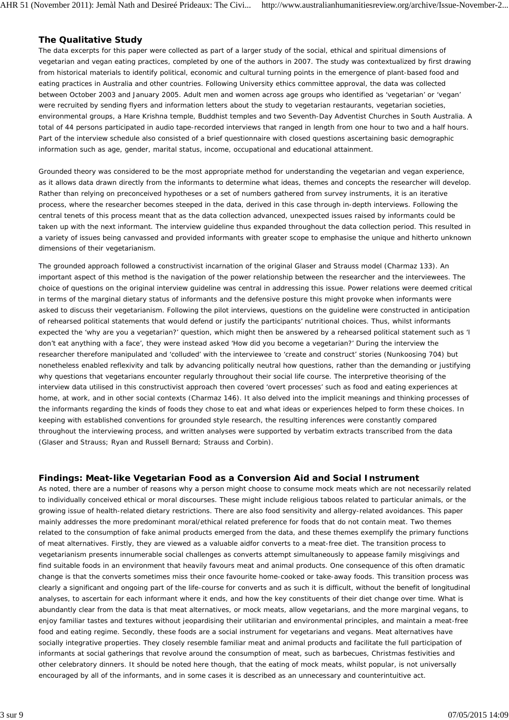# **The Qualitative Study**

The data excerpts for this paper were collected as part of a larger study of the social, ethical and spiritual dimensions of vegetarian and vegan eating practices, completed by one of the authors in 2007. The study was contextualized by first drawing from historical materials to identify political, economic and cultural turning points in the emergence of plant-based food and eating practices in Australia and other countries. Following University ethics committee approval, the data was collected between October 2003 and January 2005. Adult men and women across age groups who identified as 'vegetarian' or 'vegan' were recruited by sending flyers and information letters about the study to vegetarian restaurants, vegetarian societies, environmental groups, a Hare Krishna temple, Buddhist temples and two Seventh-Day Adventist Churches in South Australia. A total of 44 persons participated in audio tape-recorded interviews that ranged in length from one hour to two and a half hours. Part of the interview schedule also consisted of a brief questionnaire with closed questions ascertaining basic demographic information such as age, gender, marital status, income, occupational and educational attainment.

Grounded theory was considered to be the most appropriate method for understanding the vegetarian and vegan experience, as it allows data drawn directly from the informants to determine what ideas, themes and concepts the researcher will develop. Rather than relying on preconceived hypotheses or a set of numbers gathered from survey instruments, it is an iterative process, where the researcher becomes steeped in the data, derived in this case through in-depth interviews. Following the central tenets of this process meant that as the data collection advanced, unexpected issues raised by informants could be taken up with the next informant. The interview guideline thus expanded throughout the data collection period. This resulted in a variety of issues being canvassed and provided informants with greater scope to emphasise the unique and hitherto unknown dimensions of their vegetarianism.

The grounded approach followed a constructivist incarnation of the original Glaser and Strauss model (Charmaz 133). An important aspect of this method is the navigation of the power relationship between the researcher and the interviewees. The choice of questions on the original interview guideline was central in addressing this issue. Power relations were deemed critical in terms of the marginal dietary status of informants and the defensive posture this might provoke when informants were asked to discuss their vegetarianism. Following the pilot interviews, questions on the guideline were constructed in anticipation of *rehearsed political statements* that would defend or justify the participants' nutritional choices. Thus, whilst informants expected the 'why are you a vegetarian?' question, which might then be answered by a rehearsed political statement such as 'I don't eat anything with a face', they were instead asked '*How* did you become a vegetarian?' During the interview the researcher therefore manipulated and 'colluded' with the interviewee to 'create and construct' stories (Nunkoosing 704) but nonetheless enabled reflexivity and talk by advancing politically neutral *how* questions, rather than the demanding or justifying *why* questions that vegetarians encounter regularly throughout their social life course. The interpretive theorising of the interview data utilised in this constructivist approach then covered 'overt processes' such as food and eating experiences at home, at work, and in other social contexts (Charmaz 146). It also delved into the implicit meanings and thinking processes of the informants regarding the kinds of foods they chose to eat and what ideas or experiences helped to form these choices. In keeping with established conventions for grounded style research, the resulting inferences were constantly compared throughout the interviewing process, and written analyses were supported by verbatim extracts transcribed from the data (Glaser and Strauss; Ryan and Russell Bernard; Strauss and Corbin).

## **Findings: Meat-like Vegetarian Food as a Conversion Aid and Social Instrument**

As noted, there are a number of reasons why a person might choose to consume mock meats which are not necessarily related to individually conceived ethical or moral discourses. These might include religious taboos related to particular animals, or the growing issue of health-related dietary restrictions. There are also food sensitivity and allergy-related avoidances. This paper mainly addresses the more predominant moral/ethical related preference for foods that do not contain meat. Two themes related to the consumption of fake animal products emerged from the data, and these themes exemplify the primary functions of meat alternatives. Firstly, they are viewed as a valuable aidfor converts to a meat-free diet. The transition process to vegetarianism presents innumerable social challenges as converts attempt simultaneously to appease family misgivings and find suitable foods in an environment that heavily favours meat and animal products. One consequence of this often dramatic change is that the converts sometimes miss their once favourite home-cooked or take-away foods. This transition process was clearly a significant and ongoing part of the life-course for converts and as such it is difficult, without the benefit of longitudinal analyses, to ascertain for each informant where it ends, and how the key constituents of their diet change over time. What is abundantly clear from the data is that meat alternatives, or mock meats, allow vegetarians, and the more marginal vegans, to enjoy familiar tastes and textures without jeopardising their utilitarian and environmental principles, and maintain a meat-free food and eating regime. Secondly, these foods are a social instrument for vegetarians and vegans. Meat alternatives have socially integrative properties. They closely resemble familiar meat and animal products and facilitate the full participation of informants at social gatherings that revolve around the consumption of meat, such as barbecues, Christmas festivities and other celebratory dinners. It should be noted here though, that the eating of mock meats, whilst popular, is not universally encouraged by all of the informants, and in some cases it is described as an unnecessary and counterintuitive act.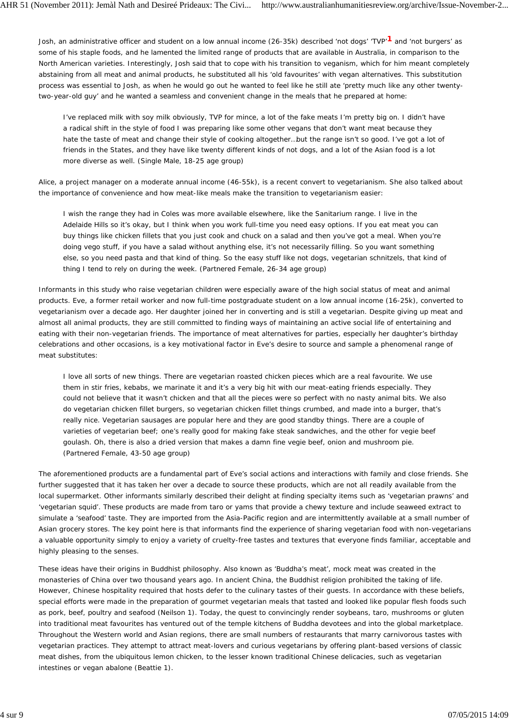Josh, an administrative officer and student on a low annual income (26-35k) described 'not dogs' 'TVP'**1** and 'not burgers' as some of his staple foods, and he lamented the limited range of products that are available in Australia, in comparison to the North American varieties. Interestingly, Josh said that to cope with his transition to veganism, which for him meant completely abstaining from all meat and animal products, he substituted all his 'old favourites' with vegan alternatives. This substitution process was essential to Josh, as when he would go out he wanted to feel like he still ate 'pretty much like any other twentytwo-year-old guy' and he wanted a seamless and convenient change in the meals that he prepared at home:

I've replaced milk with soy milk obviously, TVP for mince, a lot of the fake meats I'm pretty big on. I didn't have a radical shift in the style of food I was preparing like some other vegans that don't want meat because they hate the taste of meat and change their style of cooking altogether…but the range isn't so good. I've got a lot of friends in the States, and they have like twenty different kinds of not dogs, and a lot of the Asian food is a lot more diverse as well. (Single Male, 18-25 age group)

Alice, a project manager on a moderate annual income (46-55k), is a recent convert to vegetarianism. She also talked about the importance of convenience and how meat-like meals make the transition to vegetarianism easier:

I wish the range they had in *Coles* was more available elsewhere, like the *Sanitarium* range. I live in the Adelaide Hills so it's okay, but I think when you work full-time you need easy options. If you eat meat you can buy things like chicken fillets that you just cook and chuck on a salad and then you've got a meal. When you're doing vego stuff, if you have a salad without anything else, it's not necessarily filling. So you want something else, so you need pasta and that kind of thing. So the easy stuff like not dogs, vegetarian schnitzels, that kind of thing I tend to rely on during the week. (Partnered Female, 26-34 age group)

Informants in this study who raise vegetarian children were especially aware of the high social status of meat and animal products. Eve, a former retail worker and now full-time postgraduate student on a low annual income (16-25k), converted to vegetarianism over a decade ago. Her daughter joined her in converting and is still a vegetarian. Despite giving up meat and almost all animal products, they are still committed to finding ways of maintaining an active social life of entertaining and eating with their non-vegetarian friends. The importance of meat alternatives for parties, especially her daughter's birthday celebrations and other occasions, is a key motivational factor in Eve's desire to source and sample a phenomenal range of meat substitutes:

I love all sorts of new things. There are vegetarian roasted chicken pieces which are a real favourite. We use them in stir fries, kebabs, we marinate it and it's a very big hit with our meat-eating friends especially. They could not believe that it wasn't chicken and that all the pieces were so perfect with no nasty animal bits. We also do vegetarian chicken fillet burgers, so vegetarian chicken fillet things crumbed, and made into a burger, that's really nice. Vegetarian sausages are popular here and they are good standby things. There are a couple of varieties of vegetarian beef; one's really good for making fake steak sandwiches, and the other for vegie beef goulash. Oh, there is also a dried version that makes a damn fine vegie beef, onion and mushroom pie. (Partnered Female, 43-50 age group)

The aforementioned products are a fundamental part of Eve's social actions and interactions with family and close friends. She further suggested that it has taken her over a decade to source these products, which are not all readily available from the local supermarket. Other informants similarly described their delight at finding specialty items such as 'vegetarian prawns' and 'vegetarian squid'. These products are made from taro or yams that provide a chewy texture and include seaweed extract to simulate a 'seafood' taste. They are imported from the Asia-Pacific region and are intermittently available at a small number of Asian grocery stores. The key point here is that informants find the experience of sharing vegetarian food with non-vegetarians a valuable opportunity simply to enjoy a variety of cruelty-free tastes and textures that everyone finds familiar, acceptable and highly pleasing to the senses.

These ideas have their origins in Buddhist philosophy. Also known as 'Buddha's meat', mock meat was created in the monasteries of China over two thousand years ago. In ancient China, the Buddhist religion prohibited the taking of life. However, Chinese hospitality required that hosts defer to the culinary tastes of their guests. In accordance with these beliefs, special efforts were made in the preparation of gourmet vegetarian meals that tasted and looked like popular flesh foods such as pork, beef, poultry and seafood (Neilson 1). Today, the quest to convincingly render soybeans, taro, mushrooms or gluten into traditional meat favourites has ventured out of the temple kitchens of Buddha devotees and into the global marketplace. Throughout the Western world and Asian regions, there are small numbers of restaurants that marry carnivorous tastes with vegetarian practices. They attempt to attract meat-lovers and curious vegetarians by offering plant-based versions of classic meat dishes, from the ubiquitous lemon chicken, to the lesser known traditional Chinese delicacies, such as vegetarian intestines or vegan abalone (Beattie 1).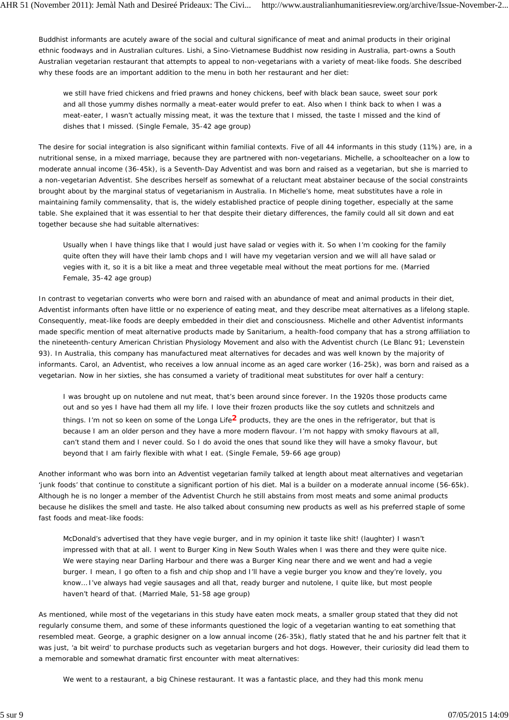Buddhist informants are acutely aware of the social and cultural significance of meat and animal products in their original ethnic foodways and in Australian cultures. Lishi, a Sino-Vietnamese Buddhist now residing in Australia, part-owns a South Australian vegetarian restaurant that attempts to appeal to non-vegetarians with a variety of meat-like foods. She described why these foods are an important addition to the menu in both her restaurant and her diet:

we still have fried chickens and fried prawns and honey chickens, beef with black bean sauce, sweet sour pork and all those yummy dishes normally a meat-eater would prefer to eat. Also when I think back to when I was a meat-eater, I wasn't actually missing meat, it was the texture that I missed, the taste I missed and the kind of dishes that I missed. (Single Female, 35-42 age group)

The desire for social integration is also significant within familial contexts. Five of all 44 informants in this study (11%) are, in a nutritional sense, in a mixed marriage, because they are partnered with non-vegetarians. Michelle, a schoolteacher on a low to moderate annual income (36-45k), is a Seventh-Day Adventist and was born and raised as a vegetarian, but she is married to a non-vegetarian Adventist. She describes herself as somewhat of a reluctant meat abstainer because of the social constraints brought about by the marginal status of vegetarianism in Australia. In Michelle's home, meat substitutes have a role in maintaining family commensality, that is, the widely established practice of people dining together, especially at the same table. She explained that it was essential to her that despite their dietary differences, the family could all sit down and eat together because she had suitable alternatives:

Usually when I have things like that I would just have salad or vegies with it. So when I'm cooking for the family quite often they will have their lamb chops and I will have my vegetarian version and we will all have salad or vegies with it, so it is a bit like a meat and three vegetable meal without the meat portions for me. (Married Female, 35-42 age group)

In contrast to vegetarian converts who were born and raised with an abundance of meat and animal products in their diet, Adventist informants often have little or no experience of eating meat, and they describe meat alternatives as a lifelong staple. Consequently, meat-like foods are deeply embedded in their diet and consciousness. Michelle and other Adventist informants made specific mention of meat alternative products made by *Sanitarium*, a health-food company that has a strong affiliation to the nineteenth-century American Christian Physiology Movement and also with the Adventist church (Le Blanc 91; Levenstein 93). In Australia, this company has manufactured meat alternatives for decades and was well known by the majority of informants. Carol, an Adventist, who receives a low annual income as an aged care worker (16-25k), was born and raised as a vegetarian. Now in her sixties, she has consumed a variety of traditional meat substitutes for over half a century:

I was brought up on nutolene and nut meat, that's been around since forever. In the 1920s those products came out and so yes I have had them all my life. I love their frozen products like the soy cutlets and schnitzels and things. I'm not so keen on some of the *Longa Life***2** products, they are the ones in the refrigerator, but that is because I am an older person and they have a more modern flavour. I'm not happy with smoky flavours at all, can't stand them and I never could. So I do avoid the ones that sound like they will have a smoky flavour, but beyond that I am fairly flexible with what I eat. (Single Female, 59-66 age group)

Another informant who was born into an Adventist vegetarian family talked at length about meat alternatives and vegetarian 'junk foods' that continue to constitute a significant portion of his diet. Mal is a builder on a moderate annual income (56-65k). Although he is no longer a member of the Adventist Church he still abstains from most meats and some animal products because he dislikes the smell and taste. He also talked about consuming new products as well as his preferred staple of some fast foods and meat-like foods:

McDonald's advertised that they have vegie burger, and in my opinion it taste like shit! (laughter) I wasn't impressed with that at all. I went to Burger King in New South Wales when I was there and they were quite nice. We were staying near Darling Harbour and there was a Burger King near there and we went and had a vegie burger. I mean, I go often to a fish and chip shop and I'll have a vegie burger you know and they're lovely, you know… I've always had vegie sausages and all that, ready burger and nutolene, I quite like, but most people haven't heard of that. (Married Male, 51-58 age group)

As mentioned, while most of the vegetarians in this study have eaten mock meats, a smaller group stated that they did not regularly consume them, and some of these informants questioned the logic of a vegetarian wanting to eat something that resembled meat. George, a graphic designer on a low annual income (26-35k), flatly stated that he and his partner felt that it was just, 'a bit weird' to purchase products such as vegetarian burgers and hot dogs. However, their curiosity did lead them to a memorable and somewhat dramatic first encounter with meat alternatives:

We went to a restaurant, a big Chinese restaurant. It was a fantastic place, and they had this monk menu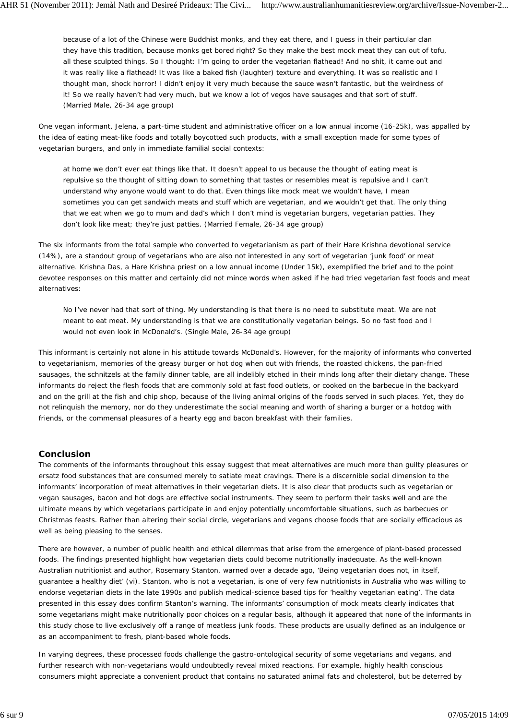because of a lot of the Chinese were Buddhist monks, and they eat there, and I guess in their particular clan they have this tradition, because monks get bored right? So they make the best mock meat they can out of tofu, all these sculpted things. So I thought: I'm going to order the vegetarian flathead! And no shit, it came out and it was really like a flathead! It was like a baked fish (laughter) texture and everything. It was so realistic and I thought man, shock horror! I didn't enjoy it very much because the sauce wasn't fantastic, but the weirdness of it! So we really haven't had very much, but we know a lot of vegos have sausages and that sort of stuff. (Married Male, 26-34 age group)

One vegan informant, Jelena, a part-time student and administrative officer on a low annual income (16-25k), was appalled by the idea of eating meat-like foods and totally boycotted such products, with a small exception made for some types of vegetarian burgers, and only in immediate familial social contexts:

at home we don't ever eat things like that. It doesn't appeal to us because the thought of eating meat is repulsive so the thought of sitting down to something that tastes or resembles meat is repulsive and I can't understand why anyone would want to do that. Even things like mock meat we wouldn't have, I mean sometimes you can get sandwich meats and stuff which are vegetarian, and we wouldn't get that. The only thing that we eat when we go to mum and dad's which I don't mind is vegetarian burgers, vegetarian patties. They don't look like meat; they're just patties. (Married Female, 26-34 age group)

The six informants from the total sample who converted to vegetarianism as part of their Hare Krishna devotional service (14%), are a standout group of vegetarians who are also not interested in any sort of vegetarian 'junk food' or meat alternative. Krishna Das, a Hare Krishna priest on a low annual income (Under 15k), exemplified the brief and to the point devotee responses on this matter and certainly did not mince words when asked if he had tried vegetarian fast foods and meat alternatives:

No I've never had that sort of thing. My understanding is that there is no need to substitute meat. We are not meant to eat meat. My understanding is that we are constitutionally vegetarian beings. So no fast food and I would not even look in McDonald's. (Single Male, 26-34 age group)

This informant is certainly not alone in his attitude towards McDonald's. However, for the majority of informants who converted to vegetarianism, memories of the greasy burger or hot dog when out with friends, the roasted chickens, the pan-fried sausages, the schnitzels at the family dinner table, are all indelibly etched in their minds long after their dietary change. These informants do reject the flesh foods that are commonly sold at fast food outlets, or cooked on the barbecue in the backyard and on the grill at the fish and chip shop, because of the living animal origins of the foods served in such places. Yet, they do not relinquish the memory, nor do they underestimate the social meaning and worth of sharing a burger or a hotdog with friends, or the commensal pleasures of a hearty egg and bacon breakfast with their families.

### **Conclusion**

The comments of the informants throughout this essay suggest that meat alternatives are much more than guilty pleasures or ersatz food substances that are consumed merely to satiate meat cravings. There is a discernible social dimension to the informants' incorporation of meat alternatives in their vegetarian diets. It is also clear that products such as vegetarian or vegan sausages, bacon and hot dogs are effective social instruments. They seem to perform their tasks well and are the ultimate means by which vegetarians participate in and enjoy potentially uncomfortable situations, such as barbecues or Christmas feasts. Rather than altering their social circle, vegetarians and vegans choose foods that are socially efficacious as well as being pleasing to the senses.

There are however, a number of public health and ethical dilemmas that arise from the emergence of plant-based processed foods. The findings presented highlight how vegetarian diets could become nutritionally inadequate. As the well-known Australian nutritionist and author, Rosemary Stanton, warned over a decade ago, 'Being vegetarian does not, in itself, guarantee a healthy diet' (vi). Stanton, who is not a vegetarian, is one of very few nutritionists in Australia who was willing to endorse vegetarian diets in the late 1990s and publish medical-science based tips for 'healthy vegetarian eating'. The data presented in this essay does confirm Stanton's warning. The informants' consumption of mock meats clearly indicates that some vegetarians might make nutritionally poor choices on a regular basis, although it appeared that none of the informants in this study chose to live exclusively off a range of meatless junk foods. These products are usually defined as an indulgence or as an accompaniment to fresh, plant-based whole foods.

In varying degrees, these processed foods challenge the gastro-ontological security of some vegetarians and vegans, and further research with non-vegetarians would undoubtedly reveal mixed reactions. For example, highly health conscious consumers might appreciate a convenient product that contains no saturated animal fats and cholesterol, but be deterred by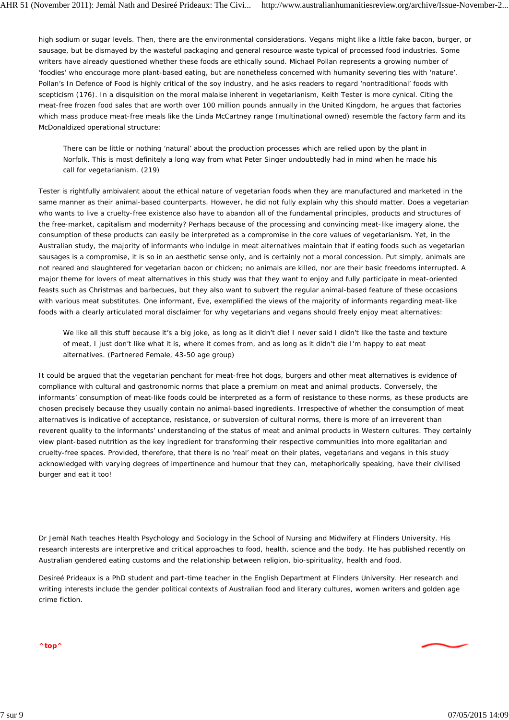high sodium or sugar levels. Then, there are the environmental considerations. Vegans might like a little fake bacon, burger, or sausage, but be dismayed by the wasteful packaging and general resource waste typical of processed food industries. Some writers have already questioned whether these foods are ethically sound. Michael Pollan represents a growing number of 'foodies' who encourage more plant-based eating, but are nonetheless concerned with humanity severing ties with 'nature'. Pollan's *In Defence of Food* is highly critical of the soy industry, and he asks readers to regard 'nontraditional' foods with scepticism (176). In a disquisition on the moral malaise inherent in vegetarianism, Keith Tester is more cynical. Citing the meat-free frozen food sales that are worth over 100 million pounds annually in the United Kingdom, he argues that factories which mass produce meat-free meals like the Linda McCartney range (multinational owned) resemble the factory farm and its McDonaldized operational structure:

There can be little or nothing 'natural' about the production processes which are relied upon by the plant in Norfolk. This is most definitely a long way from what Peter Singer undoubtedly had in mind when he made his call for vegetarianism. (219)

Tester is rightfully ambivalent about the ethical nature of vegetarian foods when they are manufactured and marketed in the same manner as their animal-based counterparts. However, he did not fully explain why this should matter. Does a vegetarian who wants to live a cruelty-free existence also have to abandon all of the fundamental principles, products and structures of the free-market, capitalism and modernity? Perhaps because of the processing and convincing meat-like imagery alone, the consumption of these products can easily be interpreted as a compromise in the core values of vegetarianism. Yet, in the Australian study, the majority of informants who indulge in meat alternatives maintain that if eating foods such as vegetarian sausages is a compromise, it is so in an aesthetic sense only, and is certainly not a moral concession. Put simply, animals are not reared and slaughtered for vegetarian bacon or chicken; no animals are killed, nor are their basic freedoms interrupted. A major theme for lovers of meat alternatives in this study was that they want to enjoy and fully participate in meat-oriented feasts such as Christmas and barbecues, but they also want to subvert the regular animal-based feature of these occasions with various meat substitutes. One informant, Eve, exemplified the views of the majority of informants regarding meat-like foods with a clearly articulated moral disclaimer for why vegetarians and vegans should freely enjoy meat alternatives:

We like all this stuff because it's a big joke, as long as it didn't die! I never said I didn't like the taste and texture of meat, I just don't like what it is, where it comes from, and as long as it didn't die I'm happy to eat meat alternatives. (Partnered Female, 43-50 age group)

It could be argued that the vegetarian penchant for meat-free hot dogs, burgers and other meat alternatives is evidence of compliance with cultural and gastronomic norms that place a premium on meat and animal products. Conversely, the informants' consumption of meat-like foods could be interpreted as a form of resistance to these norms, as these products are chosen precisely because they usually contain no animal-based ingredients. Irrespective of whether the consumption of meat alternatives is indicative of acceptance, resistance, or subversion of cultural norms, there is more of an irreverent than reverent quality to the informants' understanding of the status of meat and animal products in Western cultures. They certainly view plant-based nutrition as the key ingredient for transforming their respective communities into more egalitarian and cruelty-free spaces. Provided, therefore, that there is no 'real' meat on their plates, vegetarians and vegans in this study acknowledged with varying degrees of impertinence and humour that they can, metaphorically speaking, have their civilised burger and eat it too!

*Dr Jemàl Nath teaches Health Psychology and Sociology in the School of Nursing and Midwifery at Flinders University. His research interests are interpretive and critical approaches to food, health, science and the body. He has published recently on Australian gendered eating customs and the relationship between religion, bio-spirituality, health and food.*

*Desireé Prideaux is a PhD student and part-time teacher in the English Department at Flinders University. Her research and writing interests include the gender political contexts of Australian food and literary cultures, women writers and golden age crime fiction.*

**^top^**

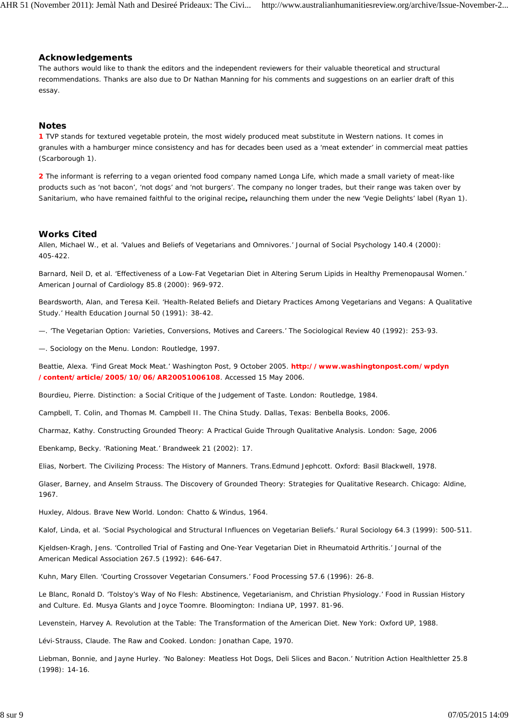#### **Acknowledgements**

The authors would like to thank the editors and the independent reviewers for their valuable theoretical and structural recommendations. Thanks are also due to Dr Nathan Manning for his comments and suggestions on an earlier draft of this essay.

### **Notes**

**1** TVP stands for *textured vegetable protein*, the most widely produced meat substitute in Western nations. It comes in granules with a hamburger mince consistency and has for decades been used as a 'meat extender' in commercial meat patties (Scarborough 1).

**2** The informant is referring to a vegan oriented food company named *Longa Life,* which made a small variety of meat-like products such as 'not bacon', 'not dogs' and 'not burgers'. The company no longer trades, but their range was taken over by *Sanitarium,* who have remained faithful to the original recipe**,** relaunching them under the new 'Vegie Delights' label (Ryan 1).

#### **Works Cited**

Allen, Michael W., *et al*. 'Values and Beliefs of Vegetarians and Omnivores.' *Journal of Social Psychology* 140.4 (2000): 405-422.

Barnard, Neil D, *et al*. 'Effectiveness of a Low-Fat Vegetarian Diet in Altering Serum Lipids in Healthy Premenopausal Women.' *American Journal of Cardiology* 85.8 (2000): 969-972.

Beardsworth, Alan, and Teresa Keil. 'Health-Related Beliefs and Dietary Practices Among Vegetarians and Vegans: A Qualitative Study.' *Health Education Journal* 50 (1991): 38-42.

—. 'The Vegetarian Option: Varieties, Conversions, Motives and Careers.' *The Sociological Review* 40 (1992): 253-93.

—. *Sociology on the Menu.* London: Routledge, 1997.

Beattie, Alexa. 'Find Great Mock Meat.' *Washington Post,* 9 October 2005. **http://www.washingtonpost.com/wpdyn /content/article/2005/10/06/AR20051006108**. Accessed 15 May 2006.

Bourdieu, Pierre. *Distinction: a Social Critique of the Judgement of Taste.* London: Routledge, 1984.

Campbell, T. Colin, and Thomas M. Campbell II. *The China Study.* Dallas, Texas: Benbella Books, 2006.

Charmaz, Kathy. *Constructing Grounded Theory: A Practical Guide Through Qualitative Analysis*. London: Sage, 2006

Ebenkamp, Becky. 'Rationing Meat.' *Brandweek* 21 (2002): 17.

Elias, Norbert. *The Civilizing Process: The History of Manners.* Trans.Edmund Jephcott. Oxford: Basil Blackwell, 1978.

Glaser, Barney, and Anselm Strauss. *The Discovery of Grounded Theory: Strategies for Qualitative Research.* Chicago: Aldine, 1967.

Huxley, Aldous. *Brave New World*. London: Chatto & Windus, 1964.

Kalof, Linda, *et al*. 'Social Psychological and Structural Influences on Vegetarian Beliefs.' *Rural Sociology* 64.3 (1999): 500-511.

Kjeldsen-Kragh, Jens. 'Controlled Trial of Fasting and One-Year Vegetarian Diet in Rheumatoid Arthritis.' *Journal of the American Medical Association* 267.5 (1992): 646-647.

Kuhn, Mary Ellen. 'Courting Crossover Vegetarian Consumers.' *Food Processing* 57.6 (1996): 26-8.

Le Blanc, Ronald D. 'Tolstoy's Way of No Flesh: Abstinence, Vegetarianism, and Christian Physiology.' *Food in Russian History and Culture*. Ed. Musya Glants and Joyce Toomre. Bloomington: Indiana UP, 1997. 81-96.

Levenstein, Harvey A. *Revolution at the Table: The Transformation of the American Diet.* New York: Oxford UP, 1988.

Lévi-Strauss, Claude. *The Raw and Cooked*. London: Jonathan Cape, 1970.

Liebman, Bonnie, and Jayne Hurley. 'No Baloney: Meatless Hot Dogs, Deli Slices and Bacon.' *Nutrition Action Healthletter* 25.8 (1998): 14-16.